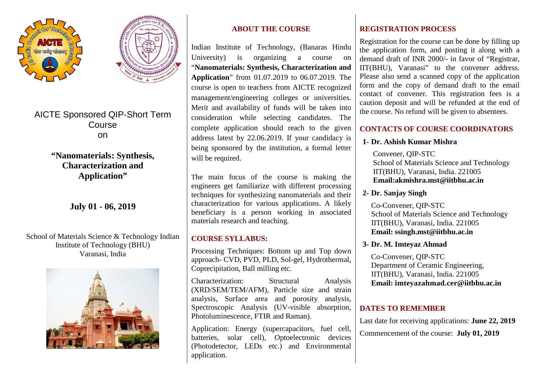



AICTE Sponsored QIP-Short Term Course on

> **"Nanomaterials: Synthesis, Characterization and Application"**

> > **July 01 - 06, 2019**

School of Materials Science & Technology Indian Institute of Technology (BHU) Varanasi, India



# **ABOUT THE COURSE**

Indian Institute of Technology, (Banaras Hindu University) is organizing a course on "**Nanomaterials: Synthesis, Characterization and Application**" from 01.07.2019 to 06.07.2019. The course is open to teachers from AICTE recognized management/engineering colleges or universities. Merit and availability of funds will be taken into consideration while selecting candidates. The complete application should reach to the given address latest by 22.06.2019. If your candidacy is being sponsored by the institution, a formal letter will be required.

The main focus of the course is making the engineers get familiarize with different processing techniques for synthesizing nanomaterials and their characterization for various applications. A likely beneficiary is a person working in associated materials research and teaching.

# **COURSE SYLLABUS:**

Processing Techniques: Bottom up and Top down approach- CVD, PVD, PLD, Sol-gel, Hydrothermal, Coprecipitation, Ball milling etc.

Characterization: Structural Analysis (XRD/SEM/TEM/AFM), Particle size and strain analysis, Surface area and porosity analysis, Spectroscopic Analysis (UV-visible absorption, Photoluminescence, FTIR and Raman).

Application: Energy (supercapacitors, fuel cell, batteries, solar cell), Optoelectronic devices (Photodetector, LEDs etc.) and Environmental application.

# **REGISTRATION PROCESS**

Registration for the course can be done by filling up the application form, and posting it along with a demand draft of INR 2000/- in favor of "Registrar, IIT(BHU), Varanasi" to the convener address. Please also send a scanned copy of the application form and the copy of demand draft to the email contact of convener. This registration fees is a caution deposit and will be refunded at the end of the course. No refund will be given to absentees.

#### **CONTACTS OF COURSE COORDINATORS**

## **1- Dr. Ashish Kumar Mishra**

 Convener, QIP-STC School of Materials Science and Technology IIT(BHU), Varanasi, India. 221005  **Email:akmishra.mst@iitbhu.ac.in**

# **2- Dr. Sanjay Singh**

 Co-Convener, QIP-STC School of Materials Science and Technology IIT(BHU), Varanasi, India. 221005  **Email: ssingh.mst@iitbhu.ac.in**

## **3- Dr. M. Imteyaz Ahmad**

 Co-Convener, QIP-STC Department of Ceramic Engineering, IIT(BHU), Varanasi, India. 221005  **Email: imteyazahmad.cer@iitbhu.ac.in**

# **DATES TO REMEMBER**

Last date for receiving applications: **June 22, 2019**

Commencement of the course: **July 01, 2019**